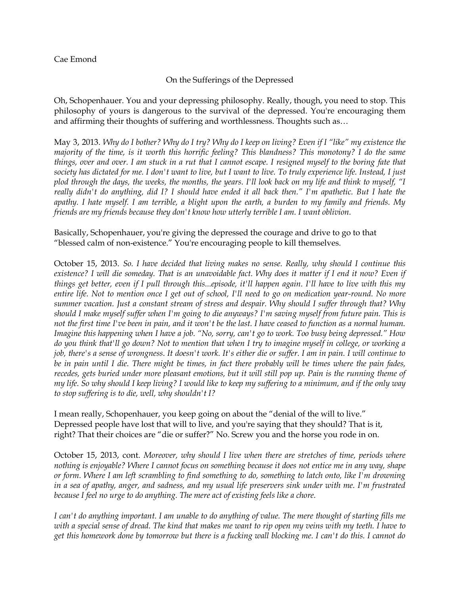## Cae Emond

## On the Sufferings of the Depressed

Oh, Schopenhauer. You and your depressing philosophy. Really, though, you need to stop. This philosophy of yours is dangerous to the survival of the depressed. You're encouraging them and affirming their thoughts of suffering and worthlessness. Thoughts such as…

May 3, 2013. *Why do I bother? Why do I try? Why do I keep on living? Even if I "like" my existence the majority of the time, is it worth this horrific feeling? This blandness? This monotony? I do the same things, over and over. I am stuck in a rut that I cannot escape. I resigned myself to the boring fate that society has dictated for me. I don't want to live, but I want to live. To truly experience life. Instead, I just plod through the days, the weeks, the months, the years. I'll look back on my life and think to myself, "I really didn't do anything, did I? I should have ended it all back then." I'm apathetic. But I hate the apathy. I hate myself. I am terrible, a blight upon the earth, a burden to my family and friends. My friends are my friends because they don't know how utterly terrible I am. I want oblivion.* 

## Basically, Schopenhauer, you're giving the depressed the courage and drive to go to that "blessed calm of non-existence." You're encouraging people to kill themselves.

October 15, 2013. *So. I have decided that living makes no sense. Really, why should I continue this*  existence? I will die someday. That is an unavoidable fact. Why does it matter if I end it now? Even if *things get better, even if I pull through this...episode, it'll happen again. I'll have to live with this my entire life. Not to mention once I get out of school, I'll need to go on medication year-round. No more summer vacation. Just a constant stream of stress and despair. Why should I suffer through that? Why should I make myself suffer when I'm going to die anyways? I'm saving myself from future pain. This is not the first time I've been in pain, and it won't be the last. I have ceased to function as a normal human. Imagine this happening when I have a job. "No, sorry, can't go to work. Too busy being depressed." How do you think that'll go down? Not to mention that when I try to imagine myself in college, or working a job, there's a sense of wrongness. It doesn't work. It's either die or suffer. I am in pain. I will continue to*  be in pain until I die. There might be times, in fact there probably will be times where the pain fades, *recedes, gets buried under more pleasant emotions, but it will still pop up. Pain is the running theme of my life. So why should I keep living? I would like to keep my suffering to a minimum, and if the only way to stop suffering is to die, well, why shouldn't I?*

I mean really, Schopenhauer, you keep going on about the "denial of the will to live." Depressed people have lost that will to live, and you're saying that they should? That is it, right? That their choices are "die or suffer?" No. Screw you and the horse you rode in on.

October 15, 2013, cont. *Moreover, why should I live when there are stretches of time, periods where nothing is enjoyable? Where I cannot focus on something because it does not entice me in any way, shape or form. Where I am left scrambling to find something to do, something to latch onto, like I'm drowning in a sea of apathy, anger, and sadness, and my usual life preservers sink under with me. I'm frustrated*  because I feel no urge to do anything. The mere act of existing feels like a chore.

*I can't do anything important. I am unable to do anything of value. The mere thought of starting fills me with a special sense of dread. The kind that makes me want to rip open my veins with my teeth. I have to get this homework done by tomorrow but there is a fucking wall blocking me. I can't do this. I cannot do*